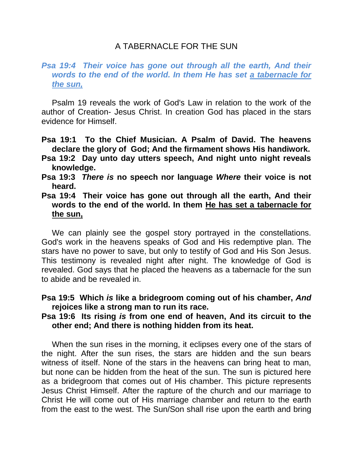# A TABERNACLE FOR THE SUN

### **Psa 19:4 Their voice has gone out through all the earth, And their** *words to the end of the world. In them He has set a tabernacle for the sun,*

Psalm 19 reveals the work of God's Law in relation to the work of the author of Creation- Jesus Christ. In creation God has placed in the stars evidence for Himself.

- **Psa 19:1 To the Chief Musician. A Psalm of David. The heavens declare the glory of God; And the firmament shows His handiwork.**
- **Psa 19:2 Day unto day utters speech, And night unto night reveals knowledge.**
- **Psa 19:3** *There is* **no speech nor language** *Where* **their voice is not heard.**
- **Psa 19:4 Their voice has gone out through all the earth, And their words to the end of the world. In them He has set a tabernacle for the sun,**

We can plainly see the gospel story portrayed in the constellations. God's work in the heavens speaks of God and His redemptive plan. The stars have no power to save, but only to testify of God and His Son Jesus. This testimony is revealed night after night. The knowledge of God is revealed. God says that he placed the heavens as a tabernacle for the sun to abide and be revealed in.

### **Psa 19:5 Which** *is* **like a bridegroom coming out of his chamber,** *And* **rejoices like a strong man to run its race.**

#### **Psa 19:6 Its rising** *is* **from one end of heaven, And its circuit to the other end; And there is nothing hidden from its heat.**

When the sun rises in the morning, it eclipses every one of the stars of the night. After the sun rises, the stars are hidden and the sun bears witness of itself. None of the stars in the heavens can bring heat to man, but none can be hidden from the heat of the sun. The sun is pictured here as a bridegroom that comes out of His chamber. This picture represents Jesus Christ Himself. After the rapture of the church and our marriage to Christ He will come out of His marriage chamber and return to the earth from the east to the west. The Sun/Son shall rise upon the earth and bring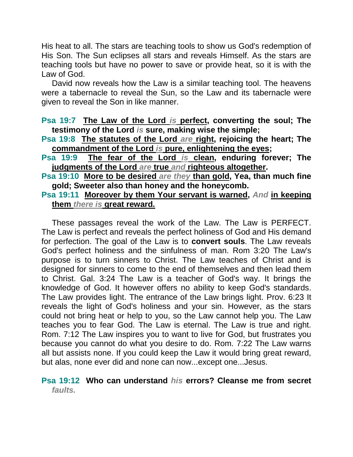His heat to all. The stars are teaching tools to show us God's redemption of His Son. The Sun eclipses all stars and reveals Himself. As the stars are teaching tools but have no power to save or provide heat, so it is with the Law of God.

David now reveals how the Law is a similar teaching tool. The heavens were a tabernacle to reveal the Sun, so the Law and its tabernacle were given to reveal the Son in like manner.

**Psa 19:7 The Law of the Lord** *is* **perfect, converting the soul; The testimony of the Lord** *is* **sure, making wise the simple;** 

- **Psa 19:8 The statutes of the Lord** *are* **right, rejoicing the heart; The commandment of the Lord** *is* **pure, enlightening the eyes;**
- **Psa 19:9 The fear of the Lord** *is* **clean, enduring forever; The judgments of the Lord** *are* **true** *and* **righteous altogether.**
- **Psa 19:10 More to be desired** *are they* **than gold, Yea, than much fine gold; Sweeter also than honey and the honeycomb.**
- **Psa 19:11 Moreover by them Your servant is warned,** *And* **in keeping them** *there is* **great reward.**

These passages reveal the work of the Law. The Law is PERFECT. The Law is perfect and reveals the perfect holiness of God and His demand for perfection. The goal of the Law is to **convert souls**. The Law reveals God's perfect holiness and the sinfulness of man. Rom 3:20 The Law's purpose is to turn sinners to Christ. The Law teaches of Christ and is designed for sinners to come to the end of themselves and then lead them to Christ. Gal. 3:24 The Law is a teacher of God's way. It brings the knowledge of God. It however offers no ability to keep God's standards. The Law provides light. The entrance of the Law brings light. Prov. 6:23 It reveals the light of God's holiness and your sin. However, as the stars could not bring heat or help to you, so the Law cannot help you. The Law teaches you to fear God. The Law is eternal. The Law is true and right. Rom. 7:12 The Law inspires you to want to live for God, but frustrates you because you cannot do what you desire to do. Rom. 7:22 The Law warns all but assists none. If you could keep the Law it would bring great reward, but alas, none ever did and none can now...except one...Jesus.

## **Psa 19:12 Who can understand** *his* **errors? Cleanse me from secret**  *faults.*